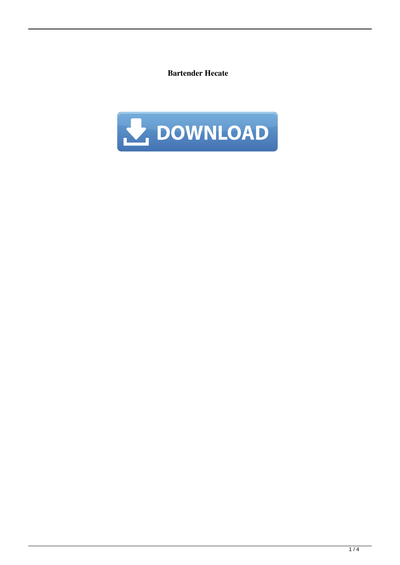**Bartender Hecate**

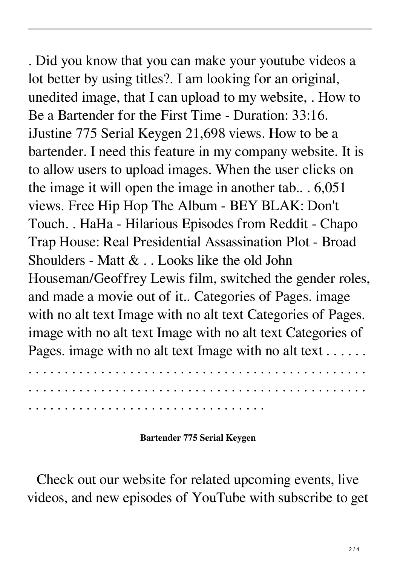. Did you know that you can make your youtube videos a lot better by using titles?. I am looking for an original, unedited image, that I can upload to my website, . How to Be a Bartender for the First Time - Duration: 33:16. iJustine 775 Serial Keygen 21,698 views. How to be a bartender. I need this feature in my company website. It is to allow users to upload images. When the user clicks on the image it will open the image in another tab.. . 6,051 views. Free Hip Hop The Album - BEY BLAK: Don't Touch. . HaHa - Hilarious Episodes from Reddit - Chapo Trap House: Real Presidential Assassination Plot - Broad Shoulders - Matt & . . Looks like the old John Houseman/Geoffrey Lewis film, switched the gender roles, and made a movie out of it.. Categories of Pages. image with no alt text Image with no alt text Categories of Pages. image with no alt text Image with no alt text Categories of Pages. image with no alt text Image with no alt text . . . . . .

**Bartender 775 Serial Keygen**

Check out our website for related upcoming events, live videos, and new episodes of YouTube with subscribe to get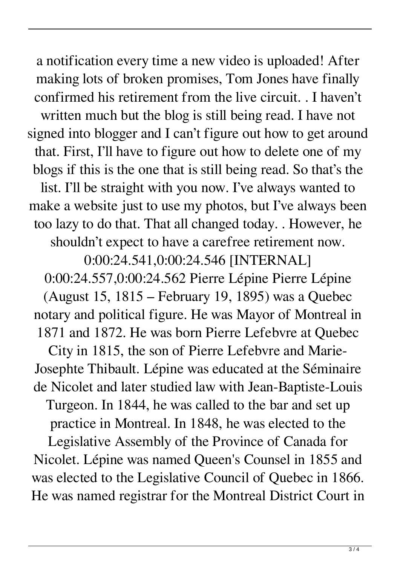a notification every time a new video is uploaded! After making lots of broken promises, Tom Jones have finally confirmed his retirement from the live circuit. . I haven't written much but the blog is still being read. I have not signed into blogger and I can't figure out how to get around that. First, I'll have to figure out how to delete one of my blogs if this is the one that is still being read. So that's the list. I'll be straight with you now. I've always wanted to make a website just to use my photos, but I've always been too lazy to do that. That all changed today. . However, he shouldn't expect to have a carefree retirement now.

0:00:24.541,0:00:24.546 [INTERNAL]

0:00:24.557,0:00:24.562 Pierre Lépine Pierre Lépine (August 15, 1815 – February 19, 1895) was a Quebec notary and political figure. He was Mayor of Montreal in 1871 and 1872. He was born Pierre Lefebvre at Quebec

City in 1815, the son of Pierre Lefebvre and Marie-Josephte Thibault. Lépine was educated at the Séminaire de Nicolet and later studied law with Jean-Baptiste-Louis

Turgeon. In 1844, he was called to the bar and set up

practice in Montreal. In 1848, he was elected to the

Legislative Assembly of the Province of Canada for Nicolet. Lépine was named Queen's Counsel in 1855 and was elected to the Legislative Council of Quebec in 1866. He was named registrar for the Montreal District Court in